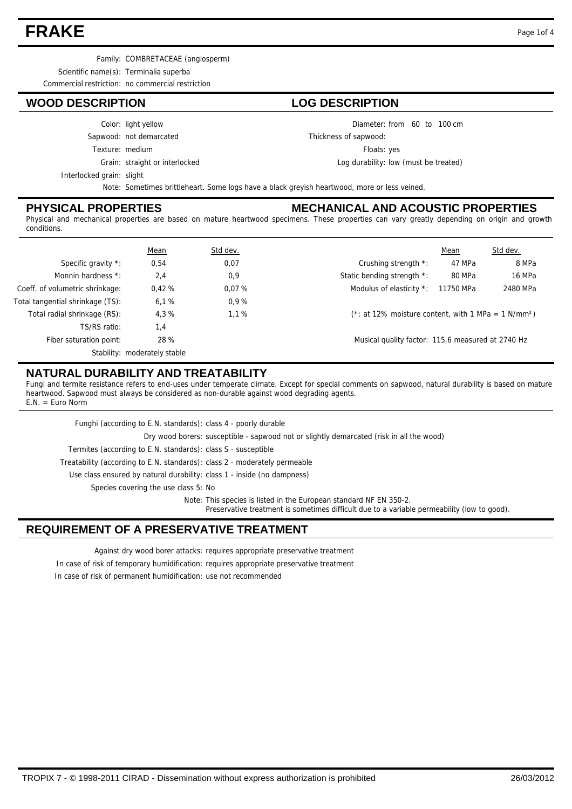## **FRAKE** Page 1of 4

Family: COMBRETACEAE (angiosperm)

Scientific name(s): Terminalia superba

Commercial restriction: no commercial restriction

## **WOOD DESCRIPTION LOG DESCRIPTION**

#### Color: light yellow

Sapwood: not demarcated

Texture: medium

Grain: straight or interlocked

Thickness of sapwood:

Floats: yes

Log durability: low (must be treated)

Diameter: from 60 to 100 cm

Interlocked grain: slight

Note: Sometimes brittleheart. Some logs have a black greyish heartwood, more or less veined.

## **PHYSICAL PROPERTIES**

## **MECHANICAL AND ACOUSTIC PROPERTIES**

Physical and mechanical properties are based on mature heartwood specimens. These properties can vary greatly depending on origin and growth conditions.

|                                  | Mean                         | Std dev. |                                                                   | Mean      | Std dev. |
|----------------------------------|------------------------------|----------|-------------------------------------------------------------------|-----------|----------|
| Specific gravity *:              | 0,54                         | 0,07     | Crushing strength *:                                              | 47 MPa    | 8 MPa    |
| Monnin hardness *:               | 2,4                          | 0,9      | Static bending strength *:                                        | 80 MPa    | 16 MPa   |
| Coeff. of volumetric shrinkage:  | 0,42%                        | 0.07%    | Modulus of elasticity *:                                          | 11750 MPa | 2480 MPa |
| Total tangential shrinkage (TS): | 6,1%                         | 0.9%     |                                                                   |           |          |
| Total radial shrinkage (RS):     | 4.3%                         | 1.1%     | (*: at 12% moisture content, with 1 MPa = $1$ N/mm <sup>2</sup> ) |           |          |
| TS/RS ratio:                     | 1,4                          |          |                                                                   |           |          |
| Fiber saturation point:          | 28 %                         |          | Musical quality factor: 115,6 measured at 2740 Hz                 |           |          |
|                                  | Stability: moderately stable |          |                                                                   |           |          |

## **NATURAL DURABILITY AND TREATABILITY**

Fungi and termite resistance refers to end-uses under temperate climate. Except for special comments on sapwood, natural durability is based on mature heartwood. Sapwood must always be considered as non-durable against wood degrading agents.  $E.N. = Euro Norm$ 

| Funghi (according to E.N. standards): class 4 - poorly durable             |                                                                                                                                                                   |
|----------------------------------------------------------------------------|-------------------------------------------------------------------------------------------------------------------------------------------------------------------|
|                                                                            | Dry wood borers: susceptible - sapwood not or slightly demarcated (risk in all the wood)                                                                          |
| Termites (according to E.N. standards): class S - susceptible              |                                                                                                                                                                   |
| Treatability (according to E.N. standards): class 2 - moderately permeable |                                                                                                                                                                   |
| Use class ensured by natural durability: class 1 - inside (no dampness)    |                                                                                                                                                                   |
| Species covering the use class 5: No                                       |                                                                                                                                                                   |
|                                                                            | Note: This species is listed in the European standard NF EN 350-2.<br>Preservative treatment is sometimes difficult due to a variable permeability (low to good). |

## **REQUIREMENT OF A PRESERVATIVE TREATMENT**

Against dry wood borer attacks: requires appropriate preservative treatment

In case of risk of temporary humidification: requires appropriate preservative treatment

In case of risk of permanent humidification: use not recommended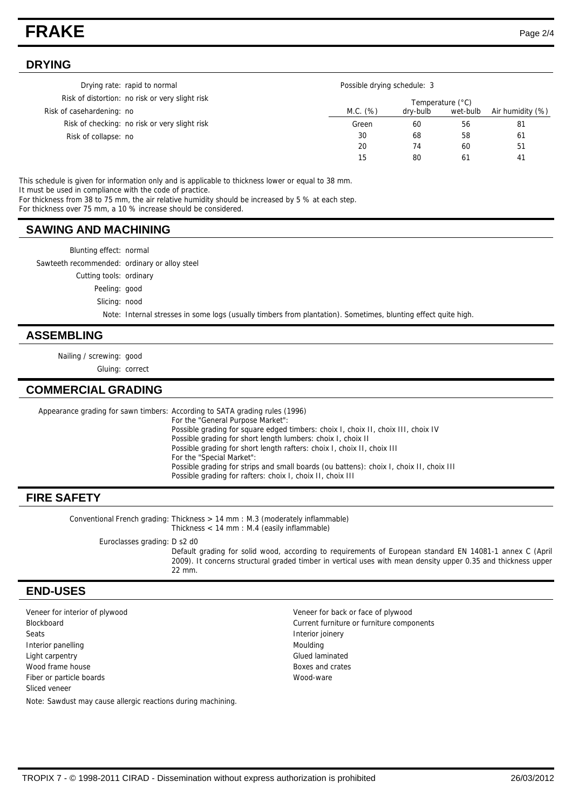## **FRAKE** Page 2/4

#### **DRYING**

|                           | Drying rate: rapid to normal                    |          | Possible drying schedule: 3 |          |                  |  |
|---------------------------|-------------------------------------------------|----------|-----------------------------|----------|------------------|--|
|                           | Risk of distortion: no risk or very slight risk |          | Temperature (°C)            |          |                  |  |
| Risk of casehardening: no |                                                 | M.C. (%) | dry-bulb                    | wet-bulb | Air humidity (%) |  |
|                           | Risk of checking: no risk or very slight risk   | Green    | 60                          | 56       | -81              |  |
| Risk of collapse: no      |                                                 | 30       | 68                          | 58       | 61               |  |
|                           |                                                 | 20       | 74                          | 60       | 51               |  |
|                           |                                                 | 15       | 80                          | 61       | 41               |  |

This schedule is given for information only and is applicable to thickness lower or equal to 38 mm. It must be used in compliance with the code of practice.

For thickness from 38 to 75 mm, the air relative humidity should be increased by 5 % at each step.

For thickness over 75 mm, a 10 % increase should be considered.

#### **SAWING AND MACHINING**

Blunting effect: normal

Sawteeth recommended: ordinary or alloy steel

Cutting tools: ordinary

Peeling: good

Slicing: nood

Note: Internal stresses in some logs (usually timbers from plantation). Sometimes, blunting effect quite high.

#### **ASSEMBLING**

Nailing / screwing: good

Gluing: correct

## **COMMERCIAL GRADING**

Appearance grading for sawn timbers: According to SATA grading rules (1996) For the "General Purpose Market": Possible grading for square edged timbers: choix I, choix II, choix III, choix IV Possible grading for short length lumbers: choix I, choix II Possible grading for short length rafters: choix I, choix II, choix III For the "Special Market": Possible grading for strips and small boards (ou battens): choix I, choix II, choix III Possible grading for rafters: choix I, choix II, choix III

## **FIRE SAFETY**

Conventional French grading: Thickness  $> 14$  mm : M.3 (moderately inflammable) Thickness < 14 mm : M.4 (easily inflammable)

Euroclasses grading: D s2 d0

Default grading for solid wood, according to requirements of European standard EN 14081-1 annex C (April 2009). It concerns structural graded timber in vertical uses with mean density upper 0.35 and thickness upper 22 mm.

#### **END-USES**

Veneer for interior of plywood Veneer for back or face of plywood Blockboard Current furniture or furniture components Seats **Interior joinery Seats Interior joinery** Interior panelling and a state of the Moulding Moulding Moulding Light carpentry Glued laminated wood frame house **Boxes** and crates Fiber or particle boards Wood-ware Sliced veneer Note: Sawdust may cause allergic reactions during machining.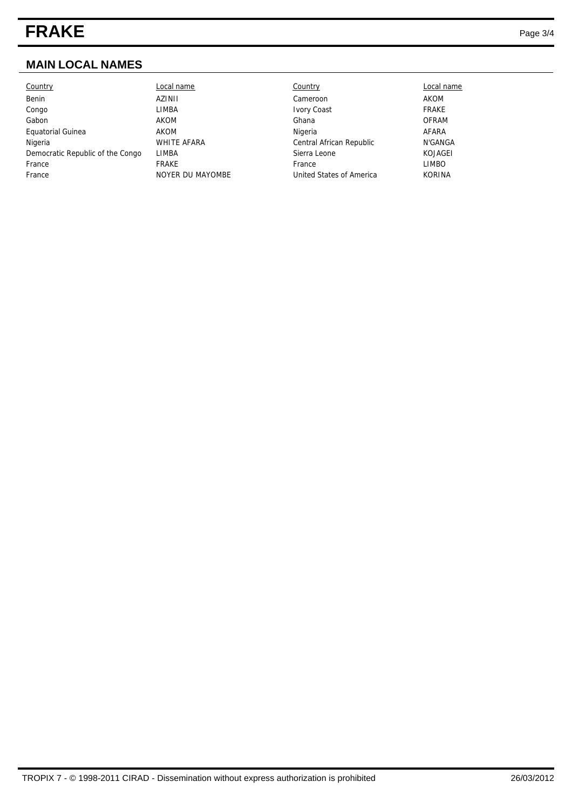# **FRAKE** Page 3/4

## **MAIN LOCAL NAMES**

| <b>Country</b>                   | Local name         | Country                  | Local name    |
|----------------------------------|--------------------|--------------------------|---------------|
| Benin                            | AZINII             | Cameroon                 | AKOM          |
| Congo                            | LIMBA              | <b>Ivory Coast</b>       | <b>FRAKE</b>  |
| Gabon                            | AKOM               | Ghana                    | <b>OFRAM</b>  |
| Equatorial Guinea                | AKOM               | Nigeria                  | AFARA         |
| Nigeria                          | <b>WHITE AFARA</b> | Central African Republic | N'GANGA       |
| Democratic Republic of the Congo | LIMBA              | Sierra Leone             | KOJAGEI       |
| France                           | FRAKE              | France                   | LIMBO         |
| France                           | NOYER DU MAYOMBE   | United States of America | <b>KORINA</b> |
|                                  |                    |                          |               |